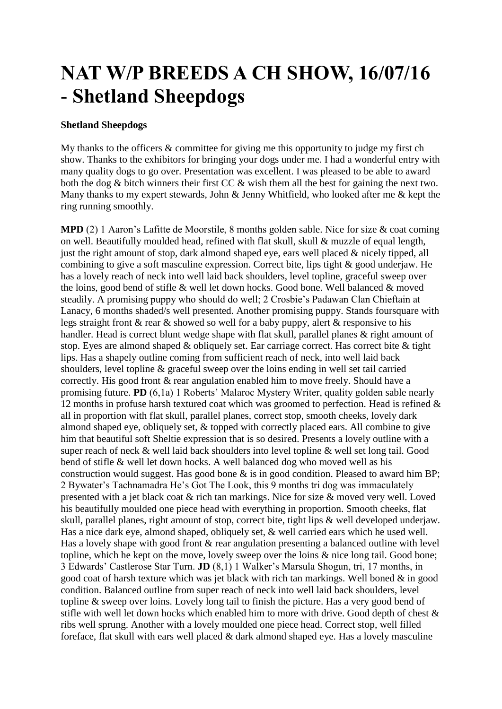## **NAT W/P BREEDS A CH SHOW, 16/07/16 - Shetland Sheepdogs**

## **Shetland Sheepdogs**

My thanks to the officers & committee for giving me this opportunity to judge my first ch show. Thanks to the exhibitors for bringing your dogs under me. I had a wonderful entry with many quality dogs to go over. Presentation was excellent. I was pleased to be able to award both the dog & bitch winners their first CC & wish them all the best for gaining the next two. Many thanks to my expert stewards, John & Jenny Whitfield, who looked after me & kept the ring running smoothly.

**MPD** (2) 1 Aaron's Lafitte de Moorstile, 8 months golden sable. Nice for size & coat coming on well. Beautifully moulded head, refined with flat skull, skull & muzzle of equal length, just the right amount of stop, dark almond shaped eye, ears well placed & nicely tipped, all combining to give a soft masculine expression. Correct bite, lips tight & good underjaw. He has a lovely reach of neck into well laid back shoulders, level topline, graceful sweep over the loins, good bend of stifle & well let down hocks. Good bone. Well balanced & moved steadily. A promising puppy who should do well; 2 Crosbie's Padawan Clan Chieftain at Lanacy, 6 months shaded/s well presented. Another promising puppy. Stands foursquare with legs straight front & rear & showed so well for a baby puppy, alert & responsive to his handler. Head is correct blunt wedge shape with flat skull, parallel planes & right amount of stop. Eyes are almond shaped & obliquely set. Ear carriage correct. Has correct bite & tight lips. Has a shapely outline coming from sufficient reach of neck, into well laid back shoulders, level topline & graceful sweep over the loins ending in well set tail carried correctly. His good front & rear angulation enabled him to move freely. Should have a promising future. **PD** (6,1a) 1 Roberts' Malaroc Mystery Writer, quality golden sable nearly 12 months in profuse harsh textured coat which was groomed to perfection. Head is refined & all in proportion with flat skull, parallel planes, correct stop, smooth cheeks, lovely dark almond shaped eye, obliquely set, & topped with correctly placed ears. All combine to give him that beautiful soft Sheltie expression that is so desired. Presents a lovely outline with a super reach of neck & well laid back shoulders into level topline & well set long tail. Good bend of stifle & well let down hocks. A well balanced dog who moved well as his construction would suggest. Has good bone & is in good condition. Pleased to award him BP; 2 Bywater's Tachnamadra He's Got The Look, this 9 months tri dog was immaculately presented with a jet black coat & rich tan markings. Nice for size & moved very well. Loved his beautifully moulded one piece head with everything in proportion. Smooth cheeks, flat skull, parallel planes, right amount of stop, correct bite, tight lips & well developed underjaw. Has a nice dark eye, almond shaped, obliquely set, & well carried ears which he used well. Has a lovely shape with good front & rear angulation presenting a balanced outline with level topline, which he kept on the move, lovely sweep over the loins & nice long tail. Good bone; 3 Edwards' Castlerose Star Turn. **JD** (8,1) 1 Walker's Marsula Shogun, tri, 17 months, in good coat of harsh texture which was jet black with rich tan markings. Well boned & in good condition. Balanced outline from super reach of neck into well laid back shoulders, level topline & sweep over loins. Lovely long tail to finish the picture. Has a very good bend of stifle with well let down hocks which enabled him to more with drive. Good depth of chest & ribs well sprung. Another with a lovely moulded one piece head. Correct stop, well filled foreface, flat skull with ears well placed & dark almond shaped eye. Has a lovely masculine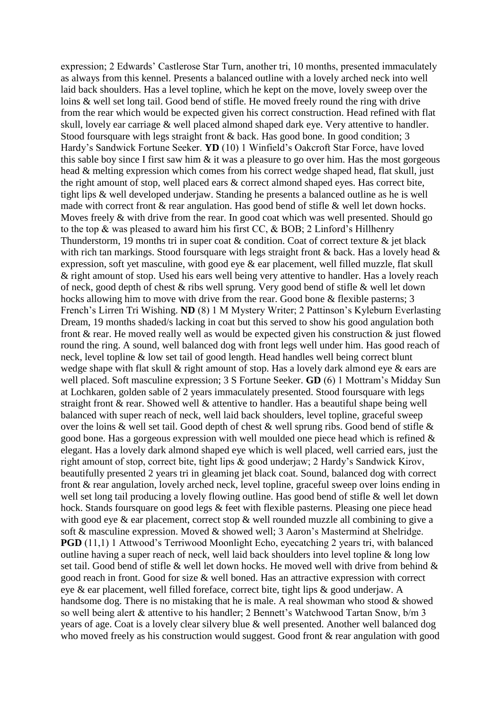expression; 2 Edwards' Castlerose Star Turn, another tri, 10 months, presented immaculately as always from this kennel. Presents a balanced outline with a lovely arched neck into well laid back shoulders. Has a level topline, which he kept on the move, lovely sweep over the loins & well set long tail. Good bend of stifle. He moved freely round the ring with drive from the rear which would be expected given his correct construction. Head refined with flat skull, lovely ear carriage & well placed almond shaped dark eye. Very attentive to handler. Stood foursquare with legs straight front & back. Has good bone. In good condition; 3 Hardy's Sandwick Fortune Seeker. **YD** (10) 1 Winfield's Oakcroft Star Force, have loved this sable boy since I first saw him  $\&$  it was a pleasure to go over him. Has the most gorgeous head & melting expression which comes from his correct wedge shaped head, flat skull, just the right amount of stop, well placed ears & correct almond shaped eyes. Has correct bite, tight lips & well developed underjaw. Standing he presents a balanced outline as he is well made with correct front & rear angulation. Has good bend of stifle & well let down hocks. Moves freely & with drive from the rear. In good coat which was well presented. Should go to the top & was pleased to award him his first CC, & BOB; 2 Linford's Hillhenry Thunderstorm, 19 months tri in super coat & condition. Coat of correct texture & jet black with rich tan markings. Stood foursquare with legs straight front  $\&$  back. Has a lovely head  $\&$ expression, soft yet masculine, with good eye & ear placement, well filled muzzle, flat skull & right amount of stop. Used his ears well being very attentive to handler. Has a lovely reach of neck, good depth of chest & ribs well sprung. Very good bend of stifle & well let down hocks allowing him to move with drive from the rear. Good bone & flexible pasterns; 3 French's Lirren Tri Wishing. **ND** (8) 1 M Mystery Writer; 2 Pattinson's Kyleburn Everlasting Dream, 19 months shaded/s lacking in coat but this served to show his good angulation both front  $\&$  rear. He moved really well as would be expected given his construction  $\&$  just flowed round the ring. A sound, well balanced dog with front legs well under him. Has good reach of neck, level topline & low set tail of good length. Head handles well being correct blunt wedge shape with flat skull & right amount of stop. Has a lovely dark almond eye & ears are well placed. Soft masculine expression; 3 S Fortune Seeker. **GD** (6) 1 Mottram's Midday Sun at Lochkaren, golden sable of 2 years immaculately presented. Stood foursquare with legs straight front & rear. Showed well & attentive to handler. Has a beautiful shape being well balanced with super reach of neck, well laid back shoulders, level topline, graceful sweep over the loins & well set tail. Good depth of chest & well sprung ribs. Good bend of stifle & good bone. Has a gorgeous expression with well moulded one piece head which is refined & elegant. Has a lovely dark almond shaped eye which is well placed, well carried ears, just the right amount of stop, correct bite, tight lips & good underjaw; 2 Hardy's Sandwick Kirov, beautifully presented 2 years tri in gleaming jet black coat. Sound, balanced dog with correct front & rear angulation, lovely arched neck, level topline, graceful sweep over loins ending in well set long tail producing a lovely flowing outline. Has good bend of stifle & well let down hock. Stands foursquare on good legs & feet with flexible pasterns. Pleasing one piece head with good eye & ear placement, correct stop & well rounded muzzle all combining to give a soft & masculine expression. Moved & showed well; 3 Aaron's Mastermind at Shelridge. **PGD** (11,1) 1 Attwood's Terriwood Moonlight Echo, eyecatching 2 years tri, with balanced outline having a super reach of neck, well laid back shoulders into level topline & long low set tail. Good bend of stifle & well let down hocks. He moved well with drive from behind & good reach in front. Good for size & well boned. Has an attractive expression with correct eye & ear placement, well filled foreface, correct bite, tight lips & good underjaw. A handsome dog. There is no mistaking that he is male. A real showman who stood & showed so well being alert & attentive to his handler; 2 Bennett's Watchwood Tartan Snow, b/m 3 years of age. Coat is a lovely clear silvery blue & well presented. Another well balanced dog who moved freely as his construction would suggest. Good front & rear angulation with good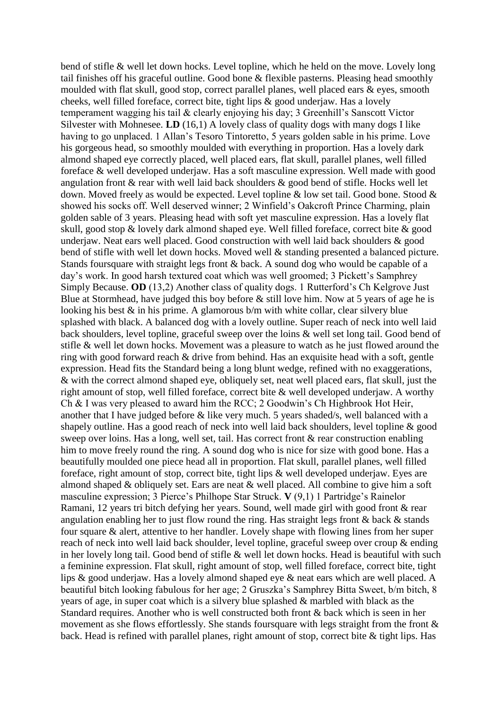bend of stifle & well let down hocks. Level topline, which he held on the move. Lovely long tail finishes off his graceful outline. Good bone & flexible pasterns. Pleasing head smoothly moulded with flat skull, good stop, correct parallel planes, well placed ears & eyes, smooth cheeks, well filled foreface, correct bite, tight lips & good underjaw. Has a lovely temperament wagging his tail & clearly enjoying his day; 3 Greenhill's Sanscott Victor Silvester with Mohnesee. **LD** (16,1) A lovely class of quality dogs with many dogs I like having to go unplaced. 1 Allan's Tesoro Tintoretto, 5 years golden sable in his prime. Love his gorgeous head, so smoothly moulded with everything in proportion. Has a lovely dark almond shaped eye correctly placed, well placed ears, flat skull, parallel planes, well filled foreface & well developed underjaw. Has a soft masculine expression. Well made with good angulation front & rear with well laid back shoulders & good bend of stifle. Hocks well let down. Moved freely as would be expected. Level topline & low set tail. Good bone. Stood & showed his socks off. Well deserved winner; 2 Winfield's Oakcroft Prince Charming, plain golden sable of 3 years. Pleasing head with soft yet masculine expression. Has a lovely flat skull, good stop & lovely dark almond shaped eye. Well filled foreface, correct bite & good underjaw. Neat ears well placed. Good construction with well laid back shoulders & good bend of stifle with well let down hocks. Moved well & standing presented a balanced picture. Stands foursquare with straight legs front & back. A sound dog who would be capable of a day's work. In good harsh textured coat which was well groomed; 3 Pickett's Samphrey Simply Because. **OD** (13,2) Another class of quality dogs. 1 Rutterford's Ch Kelgrove Just Blue at Stormhead, have judged this boy before & still love him. Now at 5 years of age he is looking his best  $\&$  in his prime. A glamorous b/m with white collar, clear silvery blue splashed with black. A balanced dog with a lovely outline. Super reach of neck into well laid back shoulders, level topline, graceful sweep over the loins & well set long tail. Good bend of stifle & well let down hocks. Movement was a pleasure to watch as he just flowed around the ring with good forward reach & drive from behind. Has an exquisite head with a soft, gentle expression. Head fits the Standard being a long blunt wedge, refined with no exaggerations, & with the correct almond shaped eye, obliquely set, neat well placed ears, flat skull, just the right amount of stop, well filled foreface, correct bite & well developed underjaw. A worthy Ch & I was very pleased to award him the RCC; 2 Goodwin's Ch Highbrook Hot Heir, another that I have judged before & like very much. 5 years shaded/s, well balanced with a shapely outline. Has a good reach of neck into well laid back shoulders, level topline & good sweep over loins. Has a long, well set, tail. Has correct front & rear construction enabling him to move freely round the ring. A sound dog who is nice for size with good bone. Has a beautifully moulded one piece head all in proportion. Flat skull, parallel planes, well filled foreface, right amount of stop, correct bite, tight lips & well developed underjaw. Eyes are almond shaped & obliquely set. Ears are neat & well placed. All combine to give him a soft masculine expression; 3 Pierce's Philhope Star Struck. **V** (9,1) 1 Partridge's Rainelor Ramani, 12 years tri bitch defying her years. Sound, well made girl with good front & rear angulation enabling her to just flow round the ring. Has straight legs front & back & stands four square & alert, attentive to her handler. Lovely shape with flowing lines from her super reach of neck into well laid back shoulder, level topline, graceful sweep over croup & ending in her lovely long tail. Good bend of stifle & well let down hocks. Head is beautiful with such a feminine expression. Flat skull, right amount of stop, well filled foreface, correct bite, tight lips & good underjaw. Has a lovely almond shaped eye & neat ears which are well placed. A beautiful bitch looking fabulous for her age; 2 Gruszka's Samphrey Bitta Sweet, b/m bitch, 8 years of age, in super coat which is a silvery blue splashed & marbled with black as the Standard requires. Another who is well constructed both front & back which is seen in her movement as she flows effortlessly. She stands foursquare with legs straight from the front  $\&$ back. Head is refined with parallel planes, right amount of stop, correct bite & tight lips. Has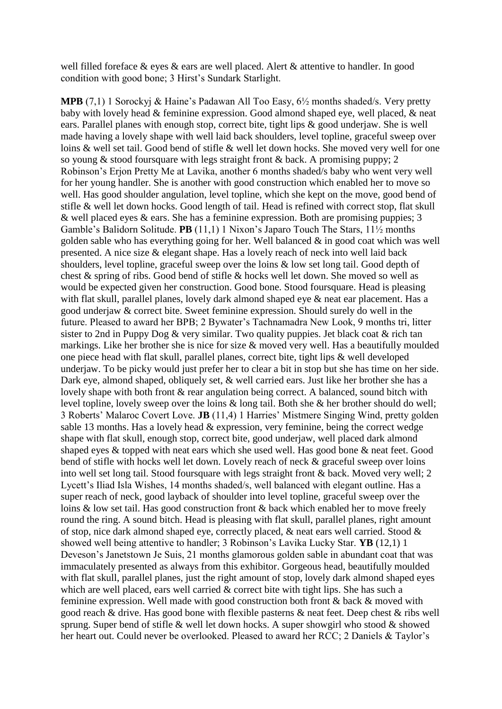well filled foreface & eyes & ears are well placed. Alert & attentive to handler. In good condition with good bone; 3 Hirst's Sundark Starlight.

**MPB** (7,1) 1 Sorockyj & Haine's Padawan All Too Easy, 6½ months shaded/s. Very pretty baby with lovely head & feminine expression. Good almond shaped eye, well placed, & neat ears. Parallel planes with enough stop, correct bite, tight lips & good underjaw. She is well made having a lovely shape with well laid back shoulders, level topline, graceful sweep over loins & well set tail. Good bend of stifle & well let down hocks. She moved very well for one so young & stood foursquare with legs straight front & back. A promising puppy; 2 Robinson's Erjon Pretty Me at Lavika, another 6 months shaded/s baby who went very well for her young handler. She is another with good construction which enabled her to move so well. Has good shoulder angulation, level topline, which she kept on the move, good bend of stifle & well let down hocks. Good length of tail. Head is refined with correct stop, flat skull & well placed eyes & ears. She has a feminine expression. Both are promising puppies; 3 Gamble's Balidorn Solitude. **PB** (11,1) 1 Nixon's Japaro Touch The Stars, 11½ months golden sable who has everything going for her. Well balanced & in good coat which was well presented. A nice size & elegant shape. Has a lovely reach of neck into well laid back shoulders, level topline, graceful sweep over the loins & low set long tail. Good depth of chest & spring of ribs. Good bend of stifle & hocks well let down. She moved so well as would be expected given her construction. Good bone. Stood foursquare. Head is pleasing with flat skull, parallel planes, lovely dark almond shaped eye & neat ear placement. Has a good underjaw & correct bite. Sweet feminine expression. Should surely do well in the future. Pleased to award her BPB; 2 Bywater's Tachnamadra New Look, 9 months tri, litter sister to 2nd in Puppy Dog & very similar. Two quality puppies. Jet black coat & rich tan markings. Like her brother she is nice for size & moved very well. Has a beautifully moulded one piece head with flat skull, parallel planes, correct bite, tight lips & well developed underjaw. To be picky would just prefer her to clear a bit in stop but she has time on her side. Dark eye, almond shaped, obliquely set, & well carried ears. Just like her brother she has a lovely shape with both front & rear angulation being correct. A balanced, sound bitch with level topline, lovely sweep over the loins & long tail. Both she & her brother should do well; 3 Roberts' Malaroc Covert Love. **JB** (11,4) 1 Harries' Mistmere Singing Wind, pretty golden sable 13 months. Has a lovely head & expression, very feminine, being the correct wedge shape with flat skull, enough stop, correct bite, good underjaw, well placed dark almond shaped eyes & topped with neat ears which she used well. Has good bone & neat feet. Good bend of stifle with hocks well let down. Lovely reach of neck & graceful sweep over loins into well set long tail. Stood foursquare with legs straight front & back. Moved very well; 2 Lycett's Iliad Isla Wishes, 14 months shaded/s, well balanced with elegant outline. Has a super reach of neck, good layback of shoulder into level topline, graceful sweep over the loins & low set tail. Has good construction front & back which enabled her to move freely round the ring. A sound bitch. Head is pleasing with flat skull, parallel planes, right amount of stop, nice dark almond shaped eye, correctly placed, & neat ears well carried. Stood & showed well being attentive to handler; 3 Robinson's Lavika Lucky Star. **YB** (12,1) 1 Deveson's Janetstown Je Suis, 21 months glamorous golden sable in abundant coat that was immaculately presented as always from this exhibitor. Gorgeous head, beautifully moulded with flat skull, parallel planes, just the right amount of stop, lovely dark almond shaped eyes which are well placed, ears well carried & correct bite with tight lips. She has such a feminine expression. Well made with good construction both front & back & moved with good reach & drive. Has good bone with flexible pasterns & neat feet. Deep chest & ribs well sprung. Super bend of stifle & well let down hocks. A super showgirl who stood & showed her heart out. Could never be overlooked. Pleased to award her RCC; 2 Daniels & Taylor's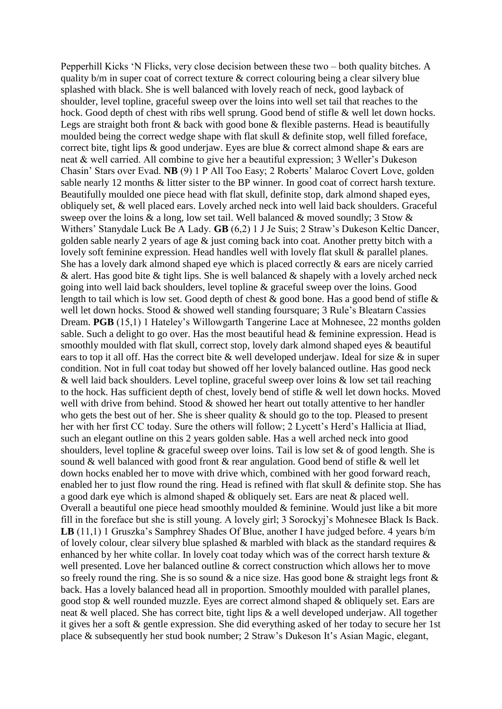Pepperhill Kicks 'N Flicks, very close decision between these two – both quality bitches. A quality b/m in super coat of correct texture & correct colouring being a clear silvery blue splashed with black. She is well balanced with lovely reach of neck, good layback of shoulder, level topline, graceful sweep over the loins into well set tail that reaches to the hock. Good depth of chest with ribs well sprung. Good bend of stifle & well let down hocks. Legs are straight both front & back with good bone & flexible pasterns. Head is beautifully moulded being the correct wedge shape with flat skull & definite stop, well filled foreface, correct bite, tight lips & good underjaw. Eyes are blue & correct almond shape & ears are neat & well carried. All combine to give her a beautiful expression; 3 Weller's Dukeson Chasin' Stars over Evad. **NB** (9) 1 P All Too Easy; 2 Roberts' Malaroc Covert Love, golden sable nearly 12 months & litter sister to the BP winner. In good coat of correct harsh texture. Beautifully moulded one piece head with flat skull, definite stop, dark almond shaped eyes, obliquely set, & well placed ears. Lovely arched neck into well laid back shoulders. Graceful sweep over the loins & a long, low set tail. Well balanced & moved soundly; 3 Stow & Withers' Stanydale Luck Be A Lady. **GB** (6,2) 1 J Je Suis; 2 Straw's Dukeson Keltic Dancer, golden sable nearly 2 years of age & just coming back into coat. Another pretty bitch with a lovely soft feminine expression. Head handles well with lovely flat skull & parallel planes. She has a lovely dark almond shaped eye which is placed correctly & ears are nicely carried & alert. Has good bite & tight lips. She is well balanced & shapely with a lovely arched neck going into well laid back shoulders, level topline & graceful sweep over the loins. Good length to tail which is low set. Good depth of chest & good bone. Has a good bend of stifle & well let down hocks. Stood & showed well standing foursquare; 3 Rule's Bleatarn Cassies Dream. **PGB** (15,1) 1 Hateley's Willowgarth Tangerine Lace at Mohnesee, 22 months golden sable. Such a delight to go over. Has the most beautiful head & feminine expression. Head is smoothly moulded with flat skull, correct stop, lovely dark almond shaped eyes & beautiful ears to top it all off. Has the correct bite & well developed underjaw. Ideal for size & in super condition. Not in full coat today but showed off her lovely balanced outline. Has good neck & well laid back shoulders. Level topline, graceful sweep over loins & low set tail reaching to the hock. Has sufficient depth of chest, lovely bend of stifle & well let down hocks. Moved well with drive from behind. Stood & showed her heart out totally attentive to her handler who gets the best out of her. She is sheer quality & should go to the top. Pleased to present her with her first CC today. Sure the others will follow; 2 Lycett's Herd's Hallicia at Iliad, such an elegant outline on this 2 years golden sable. Has a well arched neck into good shoulders, level topline  $\&$  graceful sweep over loins. Tail is low set  $\&$  of good length. She is sound & well balanced with good front & rear angulation. Good bend of stifle & well let down hocks enabled her to move with drive which, combined with her good forward reach, enabled her to just flow round the ring. Head is refined with flat skull & definite stop. She has a good dark eye which is almond shaped & obliquely set. Ears are neat & placed well. Overall a beautiful one piece head smoothly moulded & feminine. Would just like a bit more fill in the foreface but she is still young. A lovely girl; 3 Sorockyj's Mohnesee Black Is Back. **LB** (11,1) 1 Gruszka's Samphrey Shades Of Blue, another I have judged before. 4 years b/m of lovely colour, clear silvery blue splashed  $\&$  marbled with black as the standard requires  $\&$ enhanced by her white collar. In lovely coat today which was of the correct harsh texture & well presented. Love her balanced outline & correct construction which allows her to move so freely round the ring. She is so sound  $\&$  a nice size. Has good bone  $\&$  straight legs front  $\&$ back. Has a lovely balanced head all in proportion. Smoothly moulded with parallel planes, good stop & well rounded muzzle. Eyes are correct almond shaped & obliquely set. Ears are neat & well placed. She has correct bite, tight lips & a well developed underjaw. All together it gives her a soft & gentle expression. She did everything asked of her today to secure her 1st place & subsequently her stud book number; 2 Straw's Dukeson It's Asian Magic, elegant,